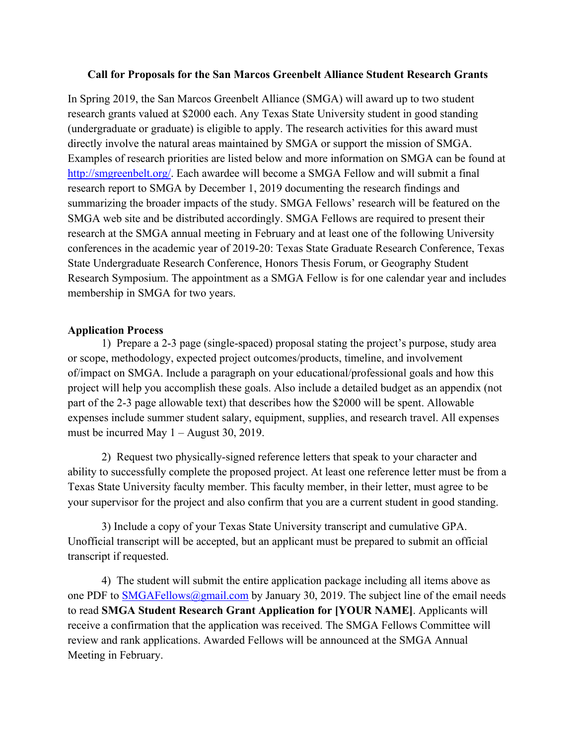## **Call for Proposals for the San Marcos Greenbelt Alliance Student Research Grants**

In Spring 2019, the San Marcos Greenbelt Alliance (SMGA) will award up to two student research grants valued at \$2000 each. Any Texas State University student in good standing (undergraduate or graduate) is eligible to apply. The research activities for this award must directly involve the natural areas maintained by SMGA or support the mission of SMGA. Examples of research priorities are listed below and more information on SMGA can be found at http://smgreenbelt.org/. Each awardee will become a SMGA Fellow and will submit a final research report to SMGA by December 1, 2019 documenting the research findings and summarizing the broader impacts of the study. SMGA Fellows' research will be featured on the SMGA web site and be distributed accordingly. SMGA Fellows are required to present their research at the SMGA annual meeting in February and at least one of the following University conferences in the academic year of 2019-20: Texas State Graduate Research Conference, Texas State Undergraduate Research Conference, Honors Thesis Forum, or Geography Student Research Symposium. The appointment as a SMGA Fellow is for one calendar year and includes membership in SMGA for two years.

## **Application Process**

1) Prepare a 2-3 page (single-spaced) proposal stating the project's purpose, study area or scope, methodology, expected project outcomes/products, timeline, and involvement of/impact on SMGA. Include a paragraph on your educational/professional goals and how this project will help you accomplish these goals. Also include a detailed budget as an appendix (not part of the 2-3 page allowable text) that describes how the \$2000 will be spent. Allowable expenses include summer student salary, equipment, supplies, and research travel. All expenses must be incurred May 1 – August 30, 2019.

2) Request two physically-signed reference letters that speak to your character and ability to successfully complete the proposed project. At least one reference letter must be from a Texas State University faculty member. This faculty member, in their letter, must agree to be your supervisor for the project and also confirm that you are a current student in good standing.

3) Include a copy of your Texas State University transcript and cumulative GPA. Unofficial transcript will be accepted, but an applicant must be prepared to submit an official transcript if requested.

4) The student will submit the entire application package including all items above as one PDF to SMGAFellows@gmail.com by January 30, 2019. The subject line of the email needs to read **SMGA Student Research Grant Application for [YOUR NAME]**. Applicants will receive a confirmation that the application was received. The SMGA Fellows Committee will review and rank applications. Awarded Fellows will be announced at the SMGA Annual Meeting in February.